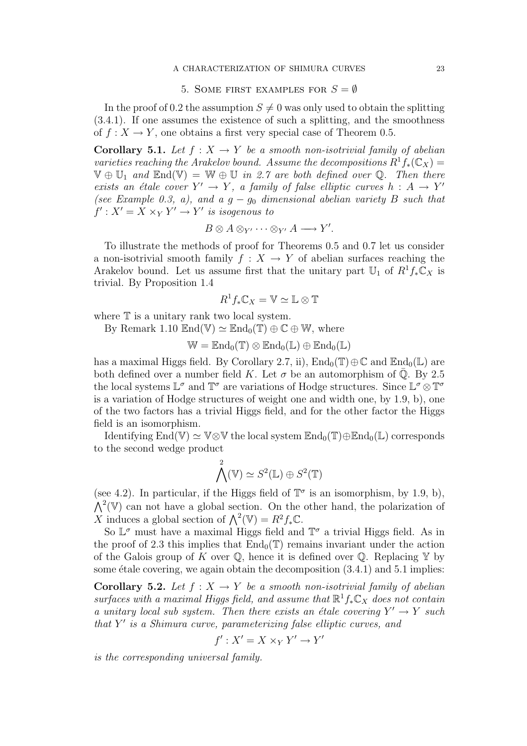## A CHARACTERIZATION OF SHIMURA CURVES 23

## 5. SOME FIRST EXAMPLES FOR  $S = \emptyset$

In the proof of 0.2 the assumption  $S \neq 0$  was only used to obtain the splitting (3.4.1). If one assumes the existence of such a splitting, and the smoothness of  $f: X \to Y$ , one obtains a first very special case of Theorem 0.5.

**Corollary 5.1.** Let  $f : X \to Y$  be a smooth non-isotrivial family of abelian varieties reaching the Arakelov bound. Assume the decompositions  $R^1f_*(\mathbb{C}_X) =$  $\mathbb{V} \oplus \mathbb{U}_1$  and  $\text{End}(\mathbb{V}) = \mathbb{W} \oplus \mathbb{U}$  in 2.7 are both defined over Q. Then there exists an étale cover  $Y' \to Y$ , a family of false elliptic curves  $h : A \to Y'$ (see Example 0.3, a), and a  $q - q_0$  dimensional abelian variety B such that  $f': X' = X \times_Y Y' \rightarrow Y'$  is isogenous to

$$
B\otimes A\otimes_{Y'}\cdots\otimes_{Y'}A\longrightarrow Y'.
$$

To illustrate the methods of proof for Theorems 0.5 and 0.7 let us consider a non-isotrivial smooth family  $f : X \to Y$  of abelian surfaces reaching the Arakelov bound. Let us assume first that the unitary part  $\mathbb{U}_1$  of  $R^1f_*\mathbb{C}_X$  is trivial. By Proposition 1.4

$$
R^1f_*\mathbb{C}_X=\mathbb{V}\simeq \mathbb{L}\otimes \mathbb{T}
$$

where  $T$  is a unitary rank two local system.

By Remark 1.10  $\mathbb{E} \text{nd}(\mathbb{V}) \simeq \mathbb{E} \text{nd}_0(\mathbb{T}) \oplus \mathbb{C} \oplus \mathbb{W}$ , where

 $\mathbb{W} = \mathbb{E} \mathrm{nd}_0(\mathbb{T}) \otimes \mathbb{E} \mathrm{nd}_0(\mathbb{L}) \oplus \mathbb{E} \mathrm{nd}_0(\mathbb{L})$ 

has a maximal Higgs field. By Corollary 2.7, ii),  $\text{End}_0(\mathbb{T})\oplus\mathbb{C}$  and  $\text{End}_0(\mathbb{L})$  are both defined over a number field K. Let  $\sigma$  be an automorphism of  $\overline{Q}$ . By 2.5 the local systems  $\mathbb{L}^{\sigma}$  and  $\mathbb{T}^{\sigma}$  are variations of Hodge structures. Since  $\mathbb{L}^{\sigma} \otimes \mathbb{T}^{\sigma}$ is a variation of Hodge structures of weight one and width one, by 1.9, b), one of the two factors has a trivial Higgs field, and for the other factor the Higgs field is an isomorphism.

Identifying End( $\mathbb{V}$ )  $\simeq \mathbb{V} \otimes \mathbb{V}$  the local system  $\mathbb{E} \text{nd}_{0}(\mathbb{T}) \oplus \mathbb{E} \text{nd}_{0}(\mathbb{L})$  corresponds to the second wedge product

$$
\bigwedge^2(\mathbb{V}) \simeq S^2(\mathbb{L}) \oplus S^2(\mathbb{T})
$$

(see 4.2). In particular, if the Higgs field of  $\mathbb{T}^{\sigma}$  is an isomorphism, by 1.9, b),  $\Lambda^2(V)$  can not have a global section. On the other hand, the polarization of X induces a global section of  $\bigwedge^2(\mathbb{V}) = R^2 f_* \mathbb{C}$ .

So  $\mathbb{L}^{\sigma}$  must have a maximal Higgs field and  $\mathbb{T}^{\sigma}$  a trivial Higgs field. As in the proof of 2.3 this implies that  $\text{End}_{0}(\mathbb{T})$  remains invariant under the action of the Galois group of K over  $\mathbb{Q}$ , hence it is defined over  $\mathbb{Q}$ . Replacing Y by some étale covering, we again obtain the decomposition  $(3.4.1)$  and  $5.1$  implies:

Corollary 5.2. Let  $f: X \to Y$  be a smooth non-isotrivial family of abelian surfaces with a maximal Higgs field, and assume that  $\mathbb{R}^1 f_* \mathbb{C}_X$  does not contain a unitary local sub system. Then there exists an étale covering  $Y' \to Y$  such that Y' is a Shimura curve, parameterizing false elliptic curves, and

$$
f': X' = X \times_{Y} Y' \to Y'
$$

is the corresponding universal family.